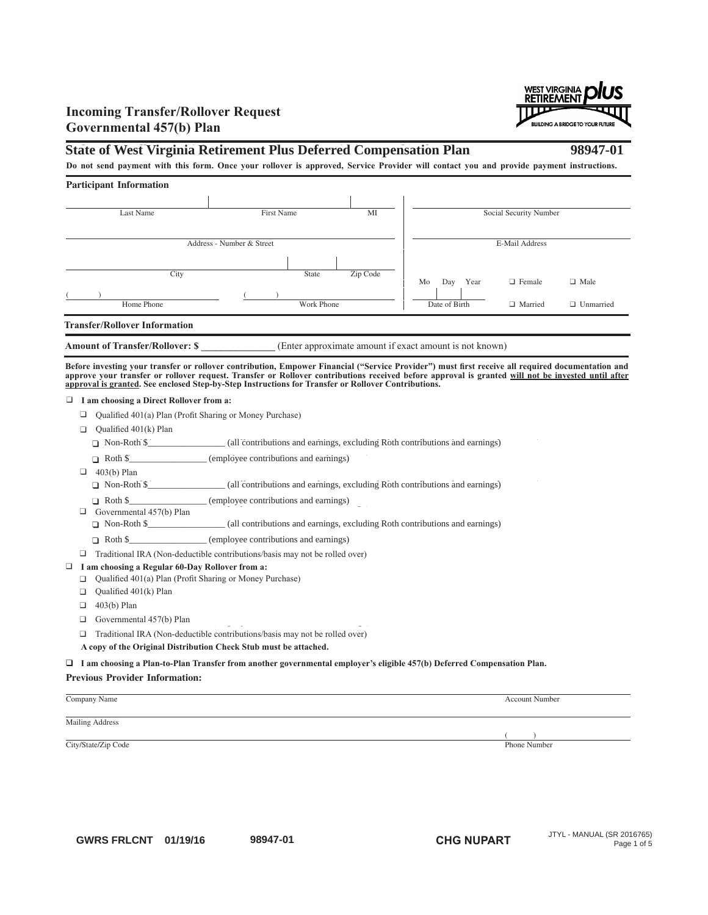## **Incoming Transfer/Rollover Request** Governmental 457(b) Plan

# State of West Virginia Retirement Plus Deferred Compensation Plan 98947-01

Do not send payment with this form. Once your rollover is approved, Service Provider will contact you and provide payment instructions.

| <b>Participant Information</b>         |            |                                                         |    |               |      |                        |                  |
|----------------------------------------|------------|---------------------------------------------------------|----|---------------|------|------------------------|------------------|
| Last Name                              | First Name | MI                                                      |    |               |      | Social Security Number |                  |
| Address - Number & Street              |            |                                                         |    |               |      | E-Mail Address         |                  |
| City                                   | State      | Zip Code                                                | Mo | Day           | Year | $\Box$ Female          | $\Box$ Male      |
| Home Phone                             | Work Phone |                                                         |    | Date of Birth |      | $\Box$ Married         | $\Box$ Unmarried |
| <b>Transfer/Rollover Information</b>   |            |                                                         |    |               |      |                        |                  |
| <b>Amount of Transfer/Rollover: \$</b> |            | (Enter approximate amount if exact amount is not known) |    |               |      |                        |                  |

Before investing your transfer or rollover contribution, Empower Financial ("Service Provider") must first receive all required documentation and approve your transfer or rollover request. Transfer or Rollover contributions received before approval is granted <u>will not be invested until after</u><br><u>approval is granted</u>. See enclosed Step-by-Step Instructions for Transfe <u>approval is granted</u>. See enclosed Step-by-Step Instructions for Transfer or Rollover Contributions.

# **□** I am choosing a Direct Rollover from a:

□ Qualified 401(a) Plan (Profit Sharing or Money Purchase)

- $\Box$  Qualified 401(k) Plan
	- Non-Roth \$ (all contributions and earnings, excluding Roth contributions and earnings) Non-Roth \$\_\_\_\_\_\_\_\_\_\_\_\_\_\_\_\_\_ (all contributions and earnings, excluding Roth contributions and earnings)
- Roth \$\_\_\_\_\_\_\_\_\_\_\_\_\_\_\_\_\_\_\_ (employee contributions and earnings)
- $\Box$  403(b) Plan

Non-Roth \$ (all contributions and earnings, excluding Roth contributions and earnings) Non-Roth \$\_\_\_\_\_\_\_\_\_\_\_\_\_\_\_\_\_ (all contributions and earnings, excluding Roth contributions and earnings)

Roth \$\_\_\_\_\_\_\_\_\_\_\_\_\_\_\_\_\_\_\_ (employee contributions and earnings)

 $\Box$  Governmental 457(b) Plan

Non-Roth \$\_\_\_\_\_\_\_\_\_\_\_\_\_\_\_\_\_ (all contributions and earnings, excluding Roth contributions and earnings)

Roth \$\_\_\_\_\_\_\_\_\_\_\_\_\_\_\_\_\_\_ (employee contributions and earnings)

□ Traditional IRA (Non-deductible contributions/basis may not be rolled over)

- □ I am choosing a Regular 60-Day Rollover from a:
	- Qualified 401(a) Plan (Profit Sharing or Money Purchase)
	- $\Box$  Qualified 401(k) Plan
	- $\Box$  403(b) Plan
	- $\Box$  Governmental 457(b) Plan
	- □ Traditional IRA (Non-deductible contributions/basis may not be rolled over) ( p y g)
	- A copy of the Original Distribution Check Stub must be attached.

### I am choosing a Plan-to-Plan Transfer from another governmental employer's eligible 457(b) Deferred Compensation Plan.

**Previous Provider Information:** Company Name Account Number

Mailing Address

City/State/Zip Code Phone Number

 $($  )

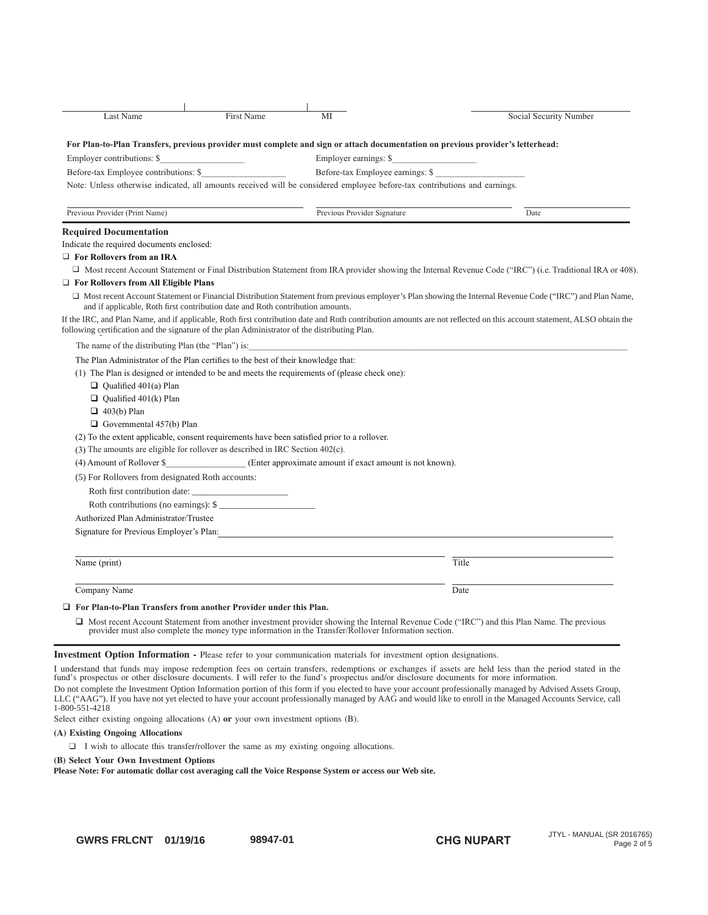| <b>First Name</b><br><b>Last Name</b>                                                                                           | MI                                                       | Social Security Number                                                                                                                                                |
|---------------------------------------------------------------------------------------------------------------------------------|----------------------------------------------------------|-----------------------------------------------------------------------------------------------------------------------------------------------------------------------|
| For Plan-to-Plan Transfers, previous provider must complete and sign or attach documentation on previous provider's letterhead: |                                                          |                                                                                                                                                                       |
| Employer contributions: \$                                                                                                      | Employer earnings: \$                                    |                                                                                                                                                                       |
| Before-tax Employee contributions: \$                                                                                           | Before-tax Employee earnings: \$                         |                                                                                                                                                                       |
| Note: Unless otherwise indicated, all amounts received will be considered employee before-tax contributions and earnings.       |                                                          |                                                                                                                                                                       |
| Previous Provider (Print Name)                                                                                                  | Previous Provider Signature                              | Date                                                                                                                                                                  |
| <b>Required Documentation</b>                                                                                                   |                                                          |                                                                                                                                                                       |
| Indicate the required documents enclosed:                                                                                       |                                                          |                                                                                                                                                                       |
| $\Box$ For Rollovers from an IRA                                                                                                |                                                          |                                                                                                                                                                       |
|                                                                                                                                 |                                                          | $\Box$ Most recent Account Statement or Final Distribution Statement from IRA provider showing the Internal Revenue Code ("IRC") (i.e. Traditional IRA or 408)        |
| $\Box$ For Rollovers from All Eligible Plans                                                                                    |                                                          |                                                                                                                                                                       |
| and if applicable, Roth first contribution date and Roth contribution amounts.                                                  |                                                          | □ Most recent Account Statement or Financial Distribution Statement from previous employer's Plan showing the Internal Revenue Code ("IRC") and Plan Name,            |
| following certification and the signature of the plan Administrator of the distributing Plan.                                   |                                                          | If the IRC, and Plan Name, and if applicable, Roth first contribution date and Roth contribution amounts are not reflected on this account statement, ALSO obtain the |
| The name of the distributing Plan (the "Plan") is:                                                                              |                                                          |                                                                                                                                                                       |
| The Plan Administrator of the Plan certifies to the best of their knowledge that:                                               |                                                          |                                                                                                                                                                       |
| (1) The Plan is designed or intended to be and meets the requirements of (please check one):                                    |                                                          |                                                                                                                                                                       |
| $\Box$ Qualified 401(a) Plan                                                                                                    |                                                          |                                                                                                                                                                       |
| $\Box$ Qualified 401(k) Plan                                                                                                    |                                                          |                                                                                                                                                                       |
| $\Box$ 403(b) Plan                                                                                                              |                                                          |                                                                                                                                                                       |
| $\Box$ Governmental 457(b) Plan                                                                                                 |                                                          |                                                                                                                                                                       |
| (2) To the extent applicable, consent requirements have been satisfied prior to a rollover.                                     |                                                          |                                                                                                                                                                       |
| $(3)$ The amounts are eligible for rollover as described in IRC Section 402 $(c)$ .                                             |                                                          |                                                                                                                                                                       |
| (4) Amount of Rollover \$                                                                                                       | (Enter approximate amount if exact amount is not known). |                                                                                                                                                                       |
| (5) For Rollovers from designated Roth accounts:                                                                                |                                                          |                                                                                                                                                                       |
| Roth first contribution date:                                                                                                   |                                                          |                                                                                                                                                                       |
| Roth contributions (no earnings): \$                                                                                            |                                                          |                                                                                                                                                                       |
| Authorized Plan Administrator/Trustee                                                                                           |                                                          |                                                                                                                                                                       |
| Signature for Previous Employer's Plan:                                                                                         |                                                          |                                                                                                                                                                       |
| Name (print)                                                                                                                    |                                                          | Title                                                                                                                                                                 |
| Company Name                                                                                                                    |                                                          | Date                                                                                                                                                                  |
| $\Box$ For Plan-to-Plan Transfers from another Provider under this Plan.                                                        |                                                          |                                                                                                                                                                       |
| provider must also complete the money type information in the Transfer/Rollover Information section.                            |                                                          | $\Box$ Most recent Account Statement from another investment provider showing the Internal Revenue Code ("IRC") and this Plan Name. The previous                      |

### Investment Option Information - Please refer to your communication materials for investment option designations.

| I understand that funds may impose redemption fees on certain transfers, redemptions or exchanges if assets are held less than the period stated in the                                                                                                                                                                  |
|--------------------------------------------------------------------------------------------------------------------------------------------------------------------------------------------------------------------------------------------------------------------------------------------------------------------------|
| fund's prospectus or other disclosure documents. I will refer to the fund's prospectus and/or disclosure documents for more information.                                                                                                                                                                                 |
| Do not complete the Investment Option Information portion of this form if you elected to have your account professionally managed by Advised Assets Group,<br>LLC ("AAG"). If you have not yet elected to have your account professionally managed by AAG and would like to enroll in the Managed Accounts Service, call |
| 1-800-551-4218                                                                                                                                                                                                                                                                                                           |

Select either existing ongoing allocations (A) or your own investment options (B).

### (A) Existing Ongoing Allocations

 $\Box$  I wish to allocate this transfer/rollover the same as my existing ongoing allocations.

### (B) Select Your Own Investment Options

Please Note: For automatic dollar cost averaging call the Voice Response System or access our Web site.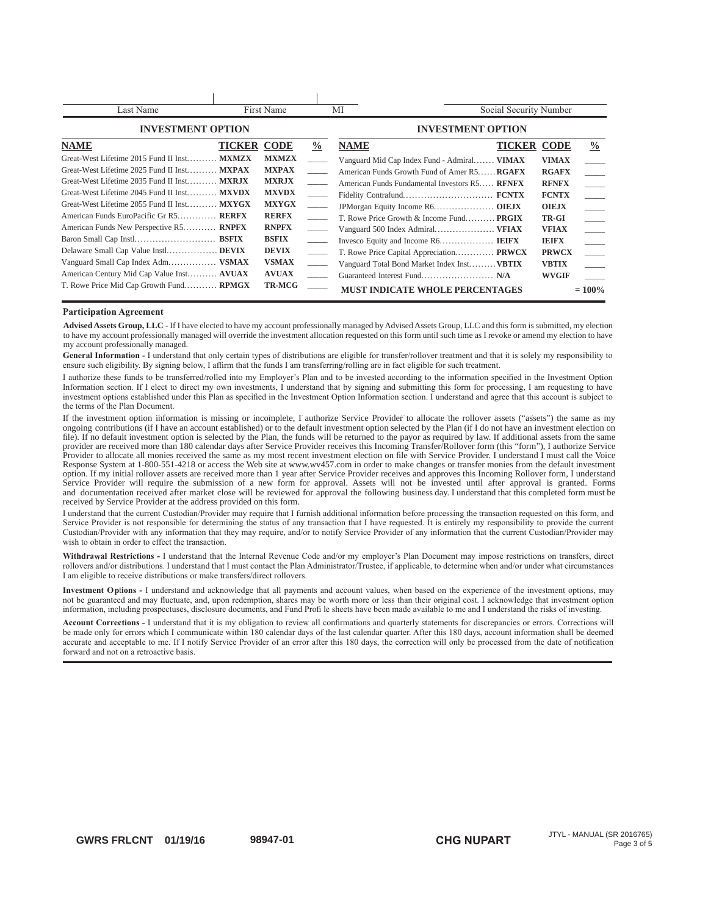| Last Name                                                                                                                                                                                                                                                                                        |                    | First Name                                                                                    |                                                                       | МI                                                                                                                                                                                                             | Social Security Number             |                                                                                       |               |
|--------------------------------------------------------------------------------------------------------------------------------------------------------------------------------------------------------------------------------------------------------------------------------------------------|--------------------|-----------------------------------------------------------------------------------------------|-----------------------------------------------------------------------|----------------------------------------------------------------------------------------------------------------------------------------------------------------------------------------------------------------|------------------------------------|---------------------------------------------------------------------------------------|---------------|
| <b>INVESTMENT OPTION</b>                                                                                                                                                                                                                                                                         |                    |                                                                                               | <b>INVESTMENT OPTION</b>                                              |                                                                                                                                                                                                                |                                    |                                                                                       |               |
| <b>NAME</b><br>Great-West Lifetime 2015 Fund II Inst MXMZX<br>Great-West Lifetime 2025 Fund II Inst MXPAX<br>Great-West Lifetime 2035 Fund II Inst MXRJX<br>Great-West Lifetime 2045 Fund II Inst MXVDX<br>Great-West Lifetime 2055 Fund II Inst MXYGX<br>American Funds EuroPacific Gr R5 RERFX | <b>TICKER CODE</b> | <b>MXMZX</b><br><b>MXPAX</b><br><b>MXRJX</b><br><b>MXVDX</b><br><b>MXYGX</b><br><b>RERFX</b>  | $\frac{6}{9}$<br>$\overline{\phantom{a}}$<br>$\overline{\phantom{a}}$ | <b>NAME</b><br>Vanguard Mid Cap Index Fund - Admiral VIMAX<br>American Funds Growth Fund of Amer R5 <b>RGAFX</b><br>American Funds Fundamental Investors R5<br>T. Rowe Price Growth & Income Fund <b>PRGIX</b> | <b>TICKER CODE</b><br><b>RENEX</b> | <b>VIMAX</b><br><b>RGAFX</b><br><b>RFNFX</b><br><b>FCNTX</b><br><b>OIEJX</b><br>TR-GI | $\frac{0}{0}$ |
| American Funds New Perspective R5 RNPFX<br>Vanguard Small Cap Index Adm VSMAX<br>American Century Mid Cap Value Inst AVUAX<br>T. Rowe Price Mid Cap Growth Fund RPMGX                                                                                                                            |                    | <b>RNPFX</b><br><b>BSFIX</b><br><b>DEVIX</b><br><b>VSMAX</b><br><b>AVUAX</b><br><b>TR-MCG</b> |                                                                       | T. Rowe Price Capital Appreciation PRWCX<br>Vanguard Total Bond Market Index Inst <b>VBTIX</b><br><b>MUST INDICATE WHOLE PERCENTAGES</b>                                                                       |                                    | <b>VFIAX</b><br><b>IEIFX</b><br><b>PRWCX</b><br><b>VBTIX</b><br><b>WVGIF</b>          | $= 100\%$     |

### **Barticipation Agreement**

**Advised Assets Group, LLC -** If I have elected to have my account professionally managed by Advised Assets Group, LLC and this form is submitted, my election to have my account professionally managed will override the investment allocation requested on this form until such time as I revoke or amend my election to have my account professionally managed.

ensure such eligibility. By signing below, I affirm that the funds I am transferring/rolling are in fact eligible for such treatment. General Information - I understand that only certain types of distributions are eligible for transfer/rollover treatment and that it is solely my responsibility to

I authorize these funds to be transferred/rolled into my Employer's Plan and to be invested according to the information specified in the Investment Option Information section. If I elect to direct my own investments, I understand that by signing and submitting this form for processing, I am requesting to have investment options established under this Plan as specified in the Investment Option Information section. I understand and agree that this account is subject to LAT AND SERVICE OR THE PLAN DOCUMENT.

If the investment option information is missing or incomplete, I authorize Service Provider to allocate the rollover assets ("assets") the same as my It the investment option information is missing or incomplete, I authorize Service Provider to allocate the rollover assets ("assets") the same as my ongoing contributions (if I have an account established) or to the defau ongoing contributions (if I have an account established) or to the default investment option selected by the Plan (if I do not have an investment election of<br>file). If no default investment option is selected by the Plan, provider are received more than 180 calendar days after Service Provider receives this Incoming Transfer/Rollover form (this "form"), I authorize Service provider are received more than 160 calendar days after service Provider receives this incoming Transfer/Rollover form (this Torm ), I authorize service<br>Provider to allocate all monies received the same as my most recent i Response System at 1-800-551-4218 or access the Web site at www.wv457.com in order to make changes or transfer mones from the default investmen option. If my initial rollover assets are received more than I year after Service Provider receives and approves this incoming Rollover form, I understand Service Provider will require the submission of a new form for approval. Assets will not be invested until after approval is granted. Forms and documentation received after market close will be reviewed for approval. Assess with not be invested until the approval is granted. Tonis file). If no default investment option is selected by the Plan, the funds will be returned to the payor as required by law. If additional assets from the same PLYVUHE 10 allocate all HODES Heckeyed the Same as my most recent investment energy has been being the what contains from the above the same that allow the same that the same in a color to make a bound of the same that all Response System at 1-800-551-4218 or access the Web site at www.wv457.com in order to make changes or transfer monies from the default investment<br>option. If my initial rollover assets are received more than 1 year after Se and documentation received after market close will be reviewed for approval the following business day. I understand that this completed form must be<br>received by Service Provider at the address provided on this form received by Service Provider at the address provided on this form. option. If my initial rollover assets are received more than 1 year after Service Provider receives and approves this Incoming Rollover form, I understand

received by service Frovider at the address provided on this form.<br>I understand that the current Custodian/Provider may require that I furnish additional information before processing the transaction requested on this form Service Provider is not responsible for determining the status of any transaction that I have requested. It is entirely my responsibility to provide the current Custodian/Provider with any information that they may require, and/or to notify Service Provider of any information that the current Custodian/Provider may information zuronium recenture with any internation that the transaction.

Withdrawal Restrictions - I understand that the Internal Revenue Code and/or my employer's Plan Document may impose restrictions on transfers, direct  $\frac{1}{2}$  and  $\frac{1}{2}$  and  $\frac{1}{2}$  and  $\frac{1}{2}$  and  $\frac{1}{2}$  and  $\frac{1}{2}$  and  $\frac{1}{2}$  and  $\frac{1}{2}$  and  $\frac{1}{2}$  and  $\frac{1}{2}$  and  $\frac{1}{2}$  and  $\frac{1}{2}$  and  $\frac{1}{2}$  and  $\frac{1}{2}$  and  $\frac{1}{2}$  and  $\frac{1}{2}$  a I am eligible to receive distributions or make transfers/direct rollovers.

Investment Options - I understand and acknowledge that all payments and account values, when based on the experience of the investment options, may not be guaranteed and may fluctuate, and, upon redemption, shares may be worth more or less than their original cost. I acknowledge that investment options, may information, including prospectuses, disclosure documents, and Fund Profile sheets have been made available to me and I understand the risks of investment open

Account Corrections - I understand that it is my obligation to review all confirmations and quarterly statements for discrepancies or errors. Corrections will be made only for errors which I communicate within 180 calendar days of the last calendar quarter. After this 180 days, account information shall be deemed accurate and acceptable to me. If I notify Service Provider of an error after this 180 days, the correction will only be processed from the date of notification forward and not on a retroactive basis.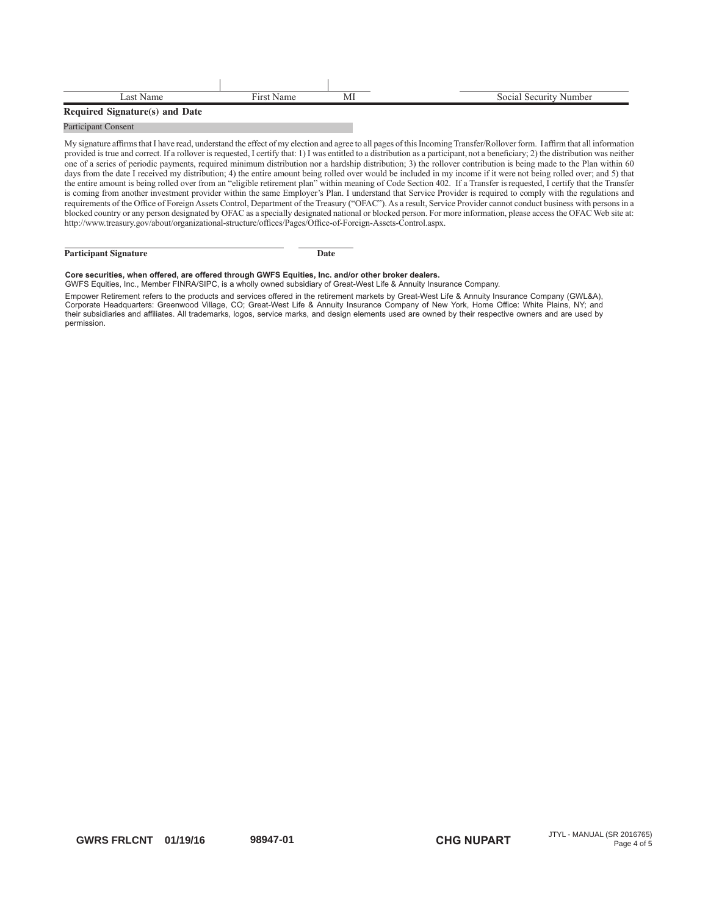| ∟ast Name                      | Name | MI | Social Security Number |
|--------------------------------|------|----|------------------------|
| Required Signature(s) and Date |      |    |                        |

### Participant Consent

My signature affirms that I have read, understand the effect of my election and agree to all pages of this Incoming Transfer/Rollover form. I affirm that all information provided is true and correct. If a rollover is requested, I certify that: 1) I was entitled to a distribution as a participant, not a beneficiary; 2) the distribution was neither one of a series of periodic payments, required minimum distribution nor a hardship distribution; 3) the rollover contribution is being made to the Plan within 60 days from the date I received my distribution; 4) the entire amount being rolled over would be included in my income if it were not being rolled over; and 5) that the entire amount is being rolled over from an "eligible retirement plan" within meaning of Code Section 402. If a Transfer is requested, I certify that the Transfer is coming from another investment provider within the same Employer's Plan. I understand that Service Provider is required to comply with the regulations and requirements of the Office of Foreign Assets Control, Department of the Treasury ("OFAC"). As a result, Service Provider cannot conduct business with persons in a blocked country or any person designated by OFAC as a specially designated national or blocked person. For more information, please access the OFAC Web site at: http://www.treasury.gov/about/organizational-structure/offices/Pages/Office-of-Foreign-Assets-Control.aspx.

### **Participant Signature Date**

### Core securities, when offered, are offered through GWFS Equities, Inc. and/or other broker dealers.

GWFS Equities, Inc., Member FINRA/SIPC, is a wholly owned subsidiary of Great-West Life & Annuity Insurance Company. Empower Retirement refers to the products and services offered in the retirement markets by Great-West Life & Annuity Insurance Company (GWL&A), Corporate Headquarters: Greenwood Village, CO; Great-West Life & Annuity Insurance Company of New York, Home Office: White Plains, NY; and their subsidiaries and affiliates. All trademarks, logos, service marks, and design elements used are owned by their respective owners and are used by permission.